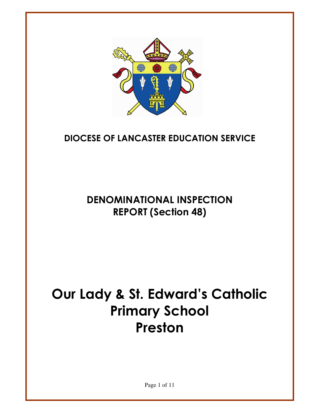

# **DIOCESE OF LANCASTER EDUCATION SERVICE**

# **DENOMINATIONAL INSPECTION REPORT (Section 48)**

# Our Lady & St. Edward's Catholic **Primary School** Preston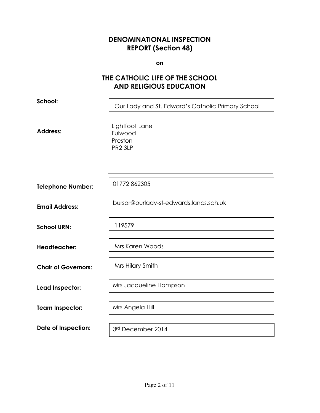#### **DENOMINATIONAL INSPECTION REPORT (Section 48)**

on

## THE CATHOLIC LIFE OF THE SCHOOL **AND RELIGIOUS EDUCATION**

| School:                    | Our Lady and St. Edward's Catholic Primary School           |
|----------------------------|-------------------------------------------------------------|
| <b>Address:</b>            | Lightfoot Lane<br>Fulwood<br>Preston<br>PR <sub>2</sub> 3LP |
| <b>Telephone Number:</b>   | 01772862305                                                 |
| <b>Email Address:</b>      | bursar@ourlady-st-edwards.lancs.sch.uk                      |
| <b>School URN:</b>         | 119579                                                      |
| <b>Headteacher:</b>        | Mrs Karen Woods                                             |
| <b>Chair of Governors:</b> | Mrs Hilary Smith                                            |
| Lead Inspector:            | Mrs Jacqueline Hampson                                      |
| <b>Team Inspector:</b>     | Mrs Angela Hill                                             |
| <b>Date of Inspection:</b> | 3rd December 2014                                           |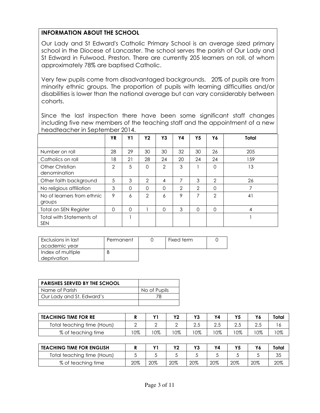#### **INFORMATION ABOUT THE SCHOOL**

Our Lady and St Edward's Catholic Primary School is an average sized primary school in the Diocese of Lancaster. The school serves the parish of Our Lady and St Edward in Fulwood, Preston. There are currently 205 learners on roll, of whom approximately 78% are baptised Catholic.

Very few pupils come from disadvantaged backgrounds. 20% of pupils are from minority ethnic groups. The proportion of pupils with learning difficulties and/or disabilities is lower than the national average but can vary considerably between cohorts.

Since the last inspection there have been some significant staff changes including five new members of the teaching staff and the appointment of a new headteacher in September 2014.

|                                        | <b>YR</b> | <b>Y1</b> | <b>Y2</b>      | Y3             | Υ4 | Υ5       | Y6            | Total |
|----------------------------------------|-----------|-----------|----------------|----------------|----|----------|---------------|-------|
|                                        |           |           |                |                |    |          |               |       |
| Number on roll                         | 28        | 29        | 30             | 30             | 32 | 30       | 26            | 205   |
| Catholics on roll                      | 18        | 21        | 28             | 24             | 20 | 24       | 24            | 159   |
| <b>Other Christian</b><br>denomination | 2         | 5         | 0              | $\overline{2}$ | 3  |          | 0             | 13    |
| Other faith background                 | 5         | 3         | $\mathcal{P}$  | 4              | 7  | 3        | $\mathcal{P}$ | 26    |
| No religious affiliation               | 3         | $\Omega$  | 0              | $\Omega$       | 2  | 2        | 0             |       |
| No of learners from ethnic<br>groups   | 9         | 6         | $\overline{2}$ | 6              | 9  | 7        | 2             | 41    |
| <b>Total on SEN Register</b>           | $\Omega$  | $\Omega$  |                | $\Omega$       | 3  | $\Omega$ | 0             | 4     |
| Total with Statements of<br><b>SEN</b> |           |           |                |                |    |          |               |       |

| Exclusions in last | Permanent | Fixed term |  |
|--------------------|-----------|------------|--|
| academic vear      |           |            |  |
| Index of multiple  |           |            |  |
| deprivation        |           |            |  |

| <b>PARISHES SERVED BY THE SCHOOL</b> |              |
|--------------------------------------|--------------|
| Name of Parish                       | No of Pupils |
| Our Lady and St. Edward's            |              |
|                                      |              |

| <b>TEACHING TIME FOR RE</b> |     | $\mathbf{v}$ | $\mathbf{v}$ | $\mathbf{v}$ | Υ4  | Υ5 | Y6 | Total |
|-----------------------------|-----|--------------|--------------|--------------|-----|----|----|-------|
| Total teaching time (Hours) |     |              |              | ں ،ے         | 2.J |    |    |       |
| % of teaching time          | '0% | 0%           | 0%           | 0%           | 0%  | 0% | 0% | 0%    |

| <b>TEACHING TIME FOR ENGLISH</b> |     |     |     |     | Y4  | Υ5  |     | Total |
|----------------------------------|-----|-----|-----|-----|-----|-----|-----|-------|
| Total teaching time (Hours)      |     |     |     |     |     |     |     | 35    |
| % of teaching time               | 20% | 20% | 20% | 20% | 20% | 20% | 20% | 20%   |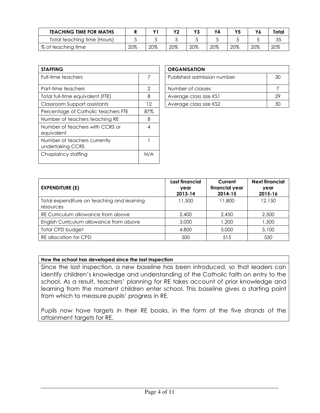| <b>TEACHING TIME FOR MATHS</b> |     |     | vn  | Y3  | Υ4  |     | Y6  | Total |
|--------------------------------|-----|-----|-----|-----|-----|-----|-----|-------|
| Total teaching time (Hours)    |     |     |     |     |     |     |     | 35    |
| % of teaching time             | 20% | 20% | 20% | 20% | 20% | 20% | 20% | 20%   |

| <b>STAFFING</b>                                  |         |
|--------------------------------------------------|---------|
| <b>Full-time teachers</b>                        | 7       |
| Part-time teachers                               | 2       |
| Total full-time equivalent (FTE)                 | 8       |
| Classroom Support assistants                     | $12 \,$ |
| Percentage of Catholic teachers FTE              | 87%     |
| Number of teachers teaching RE                   | 8       |
| Number of teachers with CCRS or<br>equivalent    | 4       |
| Number of teachers currently<br>undertaking CCRS |         |
| Chaplaincy staffing                              | N/A     |

| <b>ORGANISATION</b>        |    |
|----------------------------|----|
| Published admission number | 30 |
| Number of classes          |    |
| Average class size KS1     | 29 |
| Average class size KS2     |    |

| <b>EXPENDITURE (£)</b>                                  | Last financial<br>year<br>2013-14 | Current<br>financial year<br>2014-15 | <b>Next financial</b><br>year<br>2015-16 |
|---------------------------------------------------------|-----------------------------------|--------------------------------------|------------------------------------------|
| Total expenditure on teaching and learning<br>resources | 11,500                            | 11,800                               | 12,150                                   |
| RE Curriculum allowance from above                      | 2,400                             | 2.450                                | 2,500                                    |
| English Curriculum allowance from above                 | 3,000                             | 1.200                                | 1,500                                    |
| Total CPD budget                                        | 4,800                             | 5,000                                | 5,100                                    |
| RE allocation for CPD                                   | 500                               | 515                                  | 530                                      |

#### How the school has developed since the last inspection

Since the last inspection, a new baseline has been introduced, so that leaders can identify children's knowledge and understanding of the Catholic faith on entry to the school. As a result, teachers' planning for RE takes account of prior knowledge and learning from the moment children enter school. This baseline gives a starting point from which to measure pupils' progress in RE.

Pupils now have targets in their RE books, in the form of the five strands of the attainment targets for RE.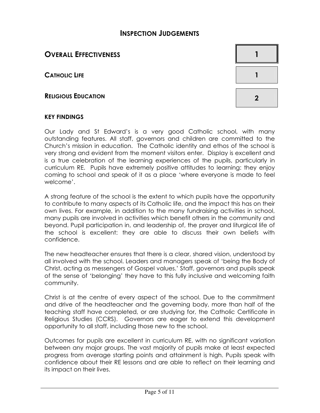## **INSPECTION JUDGEMENTS**

## **OVERALL EFFECTIVENESS**

**CATHOLIC LIFE** 

**RELIGIOUS EDUCATION** 



#### **KEY FINDINGS**

Our Lady and St Edward's is a very good Catholic school, with many outstanding features. All staff, governors and children are committed to the Church's mission in education. The Catholic identity and ethos of the school is very strong and evident from the moment visitors enter. Display is excellent and is a true celebration of the learning experiences of the pupils, particularly in curriculum RE. Pupils have extremely positive attitudes to learning: they enjoy coming to school and speak of it as a place 'where everyone is made to feel welcome'.

A strong feature of the school is the extent to which pupils have the opportunity to contribute to many aspects of its Catholic life, and the impact this has on their own lives. For example, in addition to the many fundraising activities in school, many pupils are involved in activities which benefit others in the community and beyond. Pupil participation in, and leadership of, the prayer and liturgical life of the school is excellent: they are able to discuss their own beliefs with confidence.

The new headteacher ensures that there is a clear, shared vision, understood by all involved with the school. Leaders and managers speak of 'being the Body of Christ, acting as messengers of Gospel values.' Staff, governors and pupils speak of the sense of 'belonging' they have to this fully inclusive and welcoming faith community.

Christ is at the centre of every aspect of the school. Due to the commitment and drive of the headteacher and the governing body, more than half of the teaching staff have completed, or are studying for, the Catholic Certificate in Religious Studies (CCRS). Governors are eager to extend this development opportunity to all staff, including those new to the school.

Outcomes for pupils are excellent in curriculum RE, with no significant variation between any major groups. The vast majority of pupils make at least expected progress from average starting points and attainment is high. Pupils speak with confidence about their RE lessons and are able to reflect on their learning and its impact on their lives.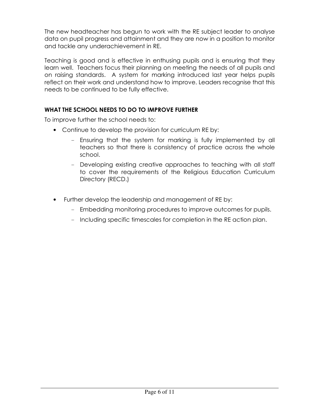The new headteacher has begun to work with the RE subject leader to analyse data on pupil progress and attainment and they are now in a position to monitor and tackle any underachievement in RE.

Teaching is good and is effective in enthusing pupils and is ensuring that they learn well. Teachers focus their planning on meeting the needs of all pupils and on raising standards. A system for marking introduced last year helps pupils reflect on their work and understand how to improve. Leaders recognise that this needs to be continued to be fully effective.

#### WHAT THE SCHOOL NEEDS TO DO TO IMPROVE FURTHER

To improve further the school needs to:

- Continue to develop the provision for curriculum RE by:
	- Ensuring that the system for marking is fully implemented by all teachers so that there is consistency of practice across the whole school.
	- Developing existing creative approaches to teaching with all staff to cover the requirements of the Religious Education Curriculum Directory (RECD.)
- Further develop the leadership and management of RE by:
	- Embedding monitoring procedures to improve outcomes for pupils.
	- Including specific timescales for completion in the RE action plan.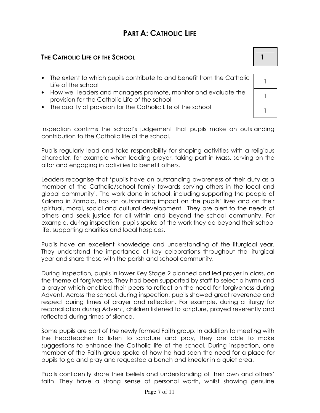# **PART A: CATHOLIC LIFE**

#### THE CATHOLIC LIFE OF THE SCHOOL

- The extent to which pupils contribute to and benefit from the Catholic Life of the school
- How well leaders and managers promote, monitor and evaluate the provision for the Catholic Life of the school
- The quality of provision for the Catholic Life of the school

Inspection confirms the school's judgement that pupils make an outstanding contribution to the Catholic life of the school.

Pupils regularly lead and take responsibility for shaping activities with a religious character, for example when leading prayer, taking part in Mass, serving on the altar and engaging in activities to benefit others.

Leaders recognise that 'pupils have an outstanding awareness of their duty as a member of the Catholic/school family towards serving others in the local and global community'. The work done in school, including supporting the people of Kalomo in Zambia, has an outstanding impact on the pupils' lives and on their spiritual, moral, social and cultural development. They are alert to the needs of others and seek justice for all within and beyond the school community. For example, during inspection, pupils spoke of the work they do beyond their school life, supporting charities and local hospices.

Pupils have an excellent knowledge and understanding of the liturgical year. They understand the importance of key celebrations throughout the liturgical year and share these with the parish and school community.

During inspection, pupils in lower Key Stage 2 planned and led prayer in class, on the theme of forgiveness. They had been supported by staff to select a hymn and a prayer which enabled their peers to reflect on the need for forgiveness during Advent. Across the school, during inspection, pupils showed great reverence and respect during times of prayer and reflection. For example, during a liturgy for reconciliation during Advent, children listened to scripture, prayed reverently and reflected during times of silence.

Some pupils are part of the newly formed Faith group. In addition to meeting with the headteacher to listen to scripture and pray, they are able to make suggestions to enhance the Catholic life of the school. During inspection, one member of the Faith group spoke of how he had seen the need for a place for pupils to go and pray and requested a bench and kneeler in a quiet area.

Pupils confidently share their beliefs and understanding of their own and others' faith. They have a strong sense of personal worth, whilst showing genuine

 $\mathbf{1}$  $\mathbf{1}$  $\mathbf{1}$ 

 $\mathbf{1}$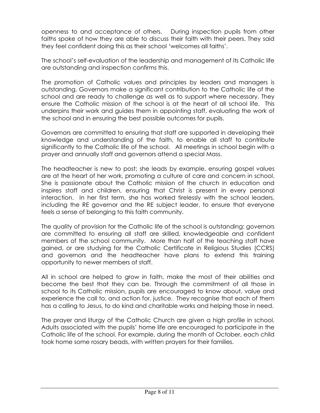openness to and acceptance of others. During inspection pupils from other faiths spoke of how they are able to discuss their faith with their peers. They said they feel confident doing this as their school 'welcomes all faiths'.

The school's self-evaluation of the leadership and management of its Catholic life are outstanding and inspection confirms this.

The promotion of Catholic values and principles by leaders and managers is outstanding. Governors make a significant contribution to the Catholic life of the school and are ready to challenge as well as to support where necessary. They ensure the Catholic mission of the school is at the heart of all school life. This underpins their work and quides them in appointing staff, evaluating the work of the school and in ensuring the best possible outcomes for pupils.

Governors are committed to ensuring that staff are supported in developing their knowledge and understanding of the faith, to enable all staff to contribute significantly to the Catholic life of the school. All meetings in school begin with a prayer and annually staff and governors attend a special Mass.

The headteacher is new to post; she leads by example, ensuring gospel values are at the heart of her work, promoting a culture of care and concern in school. She is passionate about the Catholic mission of the church in education and inspires staff and children, ensuring that Christ is present in every personal interaction. In her first term, she has worked tirelessly with the school leaders, including the RE governor and the RE subject leader, to ensure that everyone feels a sense of belonging to this faith community.

The quality of provision for the Catholic life of the school is outstanding: governors are committed to ensuring all staff are skilled, knowledgeable and confident members of the school community. More than half of the teaching staff have gained, or are studying for the Catholic Certificate in Religious Studies (CCRS) and governors and the headteacher have plans to extend this training opportunity to newer members of staff.

All in school are helped to grow in faith, make the most of their abilities and become the best that they can be. Through the commitment of all those in school to its Catholic mission, pupils are encouraged to know about, value and experience the call to, and action for, justice. They recognise that each of them has a calling to Jesus, to do kind and charitable works and helping those in need.

The prayer and liturgy of the Catholic Church are given a high profile in school. Adults associated with the pupils' home life are encouraged to participate in the Catholic life of the school. For example, during the month of October, each child took home some rosary beads, with written prayers for their families.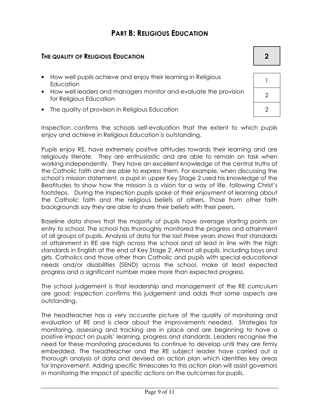# **PART B: RELIGIOUS EDUCATION**

#### THE QUALITY OF RELIGIOUS EDUCATION

- How well pupils achieve and enjoy their learning in Religious Education
- How well leaders and managers monitor and evaluate the provision for Religious Education
- The quality of provision in Religious Education

Inspection confirms the schools self-evaluation that the extent to which pupils enjoy and achieve in Religious Education is outstanding.

Pupils enjoy RE, have extremely positive attitudes towards their learning and are religiously literate. They are enthusiastic and are able to remain on task when working independently. They have an excellent knowledge of the central truths of the Catholic faith and are able to express them. For example, when discussing the school's mission statement, a pupil in upper Key Stage 2 used his knowledge of the Beatitudes to show how the mission is a vision for a way of life, following Christ's footsteps. During the inspection pupils spoke of their enjoyment of learning about the Catholic faith and the religious beliefs of others. Those from other faith backgrounds say they are able to share their beliefs with their peers.

Baseline data shows that the majority of pupils have average starting points on entry to school. The school has thoroughly monitored the progress and attainment of all groups of pupils. Analysis of data for the last three years shows that standards of attainment in RE are high across the school and at least in line with the high standards in English at the end of Key Stage 2. Almost all pupils, including boys and girls, Catholics and those other than Catholic and pupils with special educational needs and/or disabilities (SEND) across the school, make at least expected progress and a significant number make more than expected progress.

The school judgement is that leadership and management of the RE curriculum are good: inspection confirms this judgement and adds that some aspects are outstanding.

The headteacher has a very accurate picture of the quality of monitoring and evaluation of RE and is clear about the improvements needed. Strategies for monitoring, assessing and tracking are in place and are beginning to have a positive impact on pupils' learning, progress and standards. Leaders recognise the need for these monitoring procedures to continue to develop until they are firmly embedded. The headteacher and the RE subject leader have carried out a thorough analysis of data and devised an action plan which identifies key areas for improvement. Adding specific timescales to this action plan will assist governors in monitoring the impact of specific actions on the outcomes for pupils.

| $\mathbf{I}$   |  |
|----------------|--|
| $\overline{2}$ |  |

 $\overline{2}$ 

 $\overline{2}$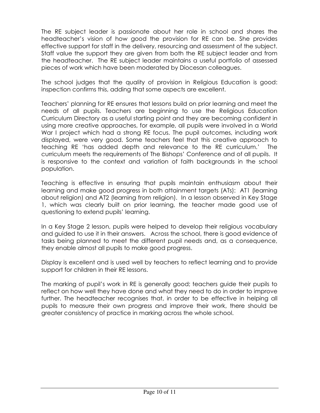The RE subject leader is passionate about her role in school and shares the headteacher's vision of how good the provision for RE can be. She provides effective support for staff in the delivery, resourcing and assessment of the subject. Staff value the support they are given from both the RE subject leader and from the headteacher. The RE subject leader maintains a useful portfolio of assessed pieces of work which have been moderated by Diocesan colleagues.

The school judges that the quality of provision in Religious Education is good: inspection confirms this, adding that some aspects are excellent.

Teachers' planning for RE ensures that lessons build on prior learning and meet the needs of all pupils. Teachers are beginning to use the Religious Education Curriculum Directory as a useful starting point and they are becoming confident in using more creative approaches, for example, all pupils were involved in a World War I project which had a strong RE focus. The pupil outcomes, including work displayed, were very good. Some teachers feel that this creative approach to teaching RE 'has added depth and relevance to the RE curriculum.' The curriculum meets the requirements of The Bishops' Conference and of all pupils. It is responsive to the context and variation of faith backgrounds in the school population.

Teaching is effective in ensuring that pupils maintain enthusiasm about their learning and make good progress in both attainment targets (ATs): ATI (learning about religion) and AT2 (learning from religion). In a lesson observed in Key Stage 1, which was clearly built on prior learning, the teacher made good use of questioning to extend pupils' learning.

In a Key Stage 2 lesson, pupils were helped to develop their religious vocabulary and guided to use it in their answers. Across the school, there is good evidence of tasks being planned to meet the different pupil needs and, as a consequence, they enable almost all pupils to make good progress.

Display is excellent and is used well by teachers to reflect learning and to provide support for children in their RE lessons.

The marking of pupil's work in RE is generally good; teachers guide their pupils to reflect on how well they have done and what they need to do in order to improve further. The headteacher recognises that, in order to be effective in helping all pupils to measure their own progress and improve their work, there should be greater consistency of practice in marking across the whole school.